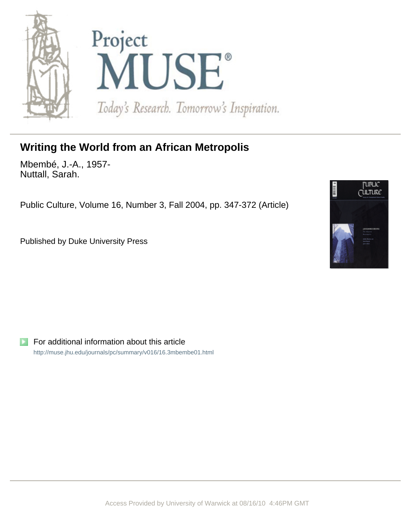

# **Writing the World from an African Metropolis**

Mbembé, J.-A., 1957- Nuttall, Sarah.

Public Culture, Volume 16, Number 3, Fall 2004, pp. 347-372 (Article)

Published by Duke University Press



For additional information about this article <http://muse.jhu.edu/journals/pc/summary/v016/16.3mbembe01.html>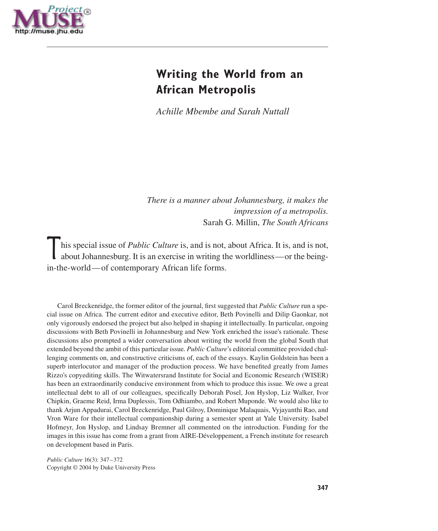

# **Writing the World from an African Metropolis**

*Achille Mbembe and Sarah Nuttall*

*There is a manner about Johannesburg, it makes the impression of a metropolis.* Sarah G. Millin, *The South Africans*

This special issue of *Public Culture* is, and is not, about Africa. It is, and is not, about Johannesburg. It is an exercise in writing the worldliness—or the beingabout Johannesburg. It is an exercise in writing the worldliness—or the beingin-the-world—of contemporary African life forms.

Carol Breckenridge, the former editor of the journal, first suggested that *Public Culture* run a special issue on Africa. The current editor and executive editor, Beth Povinelli and Dilip Gaonkar, not only vigorously endorsed the project but also helped in shaping it intellectually. In particular, ongoing discussions with Beth Povinelli in Johannesburg and New York enriched the issue's rationale. These discussions also prompted a wider conversation about writing the world from the global South that extended beyond the ambit of this particular issue. *Public Culture*'s editorial committee provided challenging comments on, and constructive criticisms of, each of the essays. Kaylin Goldstein has been a superb interlocutor and manager of the production process. We have benefited greatly from James Rizzo's copyediting skills. The Witwatersrand Institute for Social and Economic Research (WISER) has been an extraordinarily conducive environment from which to produce this issue. We owe a great intellectual debt to all of our colleagues, specifically Deborah Posel, Jon Hyslop, Liz Walker, Ivor Chipkin, Graeme Reid, Irma Duplessis, Tom Odhiambo, and Robert Muponde. We would also like to thank Arjun Appadurai, Carol Breckenridge, Paul Gilroy, Dominique Malaquais, Vyjayanthi Rao, and Vron Ware for their intellectual companionship during a semester spent at Yale University. Isabel Hofmeyr, Jon Hyslop, and Lindsay Bremner all commented on the introduction. Funding for the images in this issue has come from a grant from AIRE-Développement, a French institute for research on development based in Paris.

*Public Culture* 16(3): 347–372 Copyright © 2004 by Duke University Press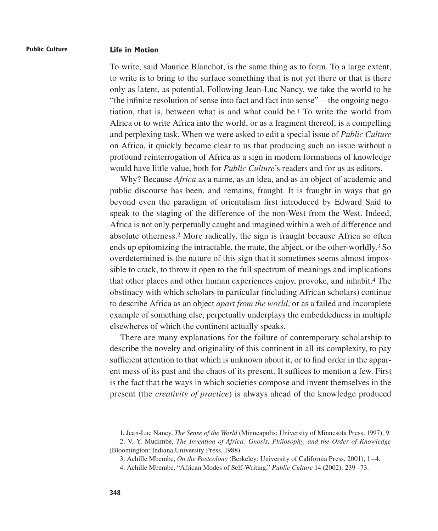# **Life in Motion**

To write, said Maurice Blanchot, is the same thing as to form. To a large extent, to write is to bring to the surface something that is not yet there or that is there only as latent, as potential. Following Jean-Luc Nancy, we take the world to be "the infinite resolution of sense into fact and fact into sense"—the ongoing negotiation, that is, between what is and what could be.1 To write the world from Africa or to write Africa into the world, or as a fragment thereof, is a compelling and perplexing task. When we were asked to edit a special issue of *Public Culture* on Africa, it quickly became clear to us that producing such an issue without a profound reinterrogation of Africa as a sign in modern formations of knowledge would have little value, both for *Public Culture*'s readers and for us as editors.

Why? Because *Africa* as a name, as an idea, and as an object of academic and public discourse has been, and remains, fraught. It is fraught in ways that go beyond even the paradigm of orientalism first introduced by Edward Said to speak to the staging of the difference of the non-West from the West. Indeed, Africa is not only perpetually caught and imagined within a web of difference and absolute otherness.2 More radically, the sign is fraught because Africa so often ends up epitomizing the intractable, the mute, the abject, or the other-worldly.3 So overdetermined is the nature of this sign that it sometimes seems almost impossible to crack, to throw it open to the full spectrum of meanings and implications that other places and other human experiences enjoy, provoke, and inhabit.4 The obstinacy with which scholars in particular (including African scholars) continue to describe Africa as an object *apart from the world*, or as a failed and incomplete example of something else, perpetually underplays the embeddedness in multiple elsewheres of which the continent actually speaks.

There are many explanations for the failure of contemporary scholarship to describe the novelty and originality of this continent in all its complexity, to pay sufficient attention to that which is unknown about it, or to find order in the apparent mess of its past and the chaos of its present. It suffices to mention a few. First is the fact that the ways in which societies compose and invent themselves in the present (the *creativity of practice*) is always ahead of the knowledge produced

<sup>1.</sup> Jean-Luc Nancy, *The Sense of the World* (Minneapolis: University of Minnesota Press, 1997), 9.

<sup>2.</sup> V. Y. Mudimbe, *The Invention of Africa: Gnosis, Philosophy, and the Order of Knowledge* (Bloomington: Indiana University Press, 1988).

<sup>3.</sup> Achille Mbembe, *On the Postcolony* (Berkeley: University of California Press, 2001), 1–4.

<sup>4.</sup> Achille Mbembe, "African Modes of Self-Writing," *Public Culture* 14 (2002): 239–73.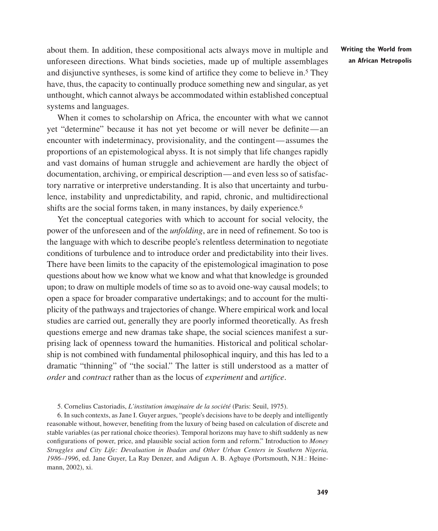about them. In addition, these compositional acts always move in multiple and unforeseen directions. What binds societies, made up of multiple assemblages and disjunctive syntheses, is some kind of artifice they come to believe in.5 They have, thus, the capacity to continually produce something new and singular, as yet unthought, which cannot always be accommodated within established conceptual systems and languages.

When it comes to scholarship on Africa, the encounter with what we cannot yet "determine" because it has not yet become or will never be definite—an encounter with indeterminacy, provisionality, and the contingent—assumes the proportions of an epistemological abyss. It is not simply that life changes rapidly and vast domains of human struggle and achievement are hardly the object of documentation, archiving, or empirical description—and even less so of satisfactory narrative or interpretive understanding. It is also that uncertainty and turbulence, instability and unpredictability, and rapid, chronic, and multidirectional shifts are the social forms taken, in many instances, by daily experience.<sup>6</sup>

Yet the conceptual categories with which to account for social velocity, the power of the unforeseen and of the *unfolding*, are in need of refinement. So too is the language with which to describe people's relentless determination to negotiate conditions of turbulence and to introduce order and predictability into their lives. There have been limits to the capacity of the epistemological imagination to pose questions about how we know what we know and what that knowledge is grounded upon; to draw on multiple models of time so as to avoid one-way causal models; to open a space for broader comparative undertakings; and to account for the multiplicity of the pathways and trajectories of change. Where empirical work and local studies are carried out, generally they are poorly informed theoretically. As fresh questions emerge and new dramas take shape, the social sciences manifest a surprising lack of openness toward the humanities. Historical and political scholarship is not combined with fundamental philosophical inquiry, and this has led to a dramatic "thinning" of "the social." The latter is still understood as a matter of *order* and *contract* rather than as the locus of *experiment* and *artifice*.

5. Cornelius Castoriadis, *L'institution imaginaire de la société* (Paris: Seuil, 1975).

6. In such contexts, as Jane I. Guyer argues, "people's decisions have to be deeply and intelligently reasonable without, however, benefiting from the luxury of being based on calculation of discrete and stable variables (as per rational choice theories). Temporal horizons may have to shift suddenly as new configurations of power, price, and plausible social action form and reform." Introduction to *Money Struggles and City Life: Devaluation in Ibadan and Other Urban Centers in Southern Nigeria, 1986–1996*, ed. Jane Guyer, La Ray Denzer, and Adigun A. B. Agbaye (Portsmouth, N.H.: Heinemann, 2002), xi.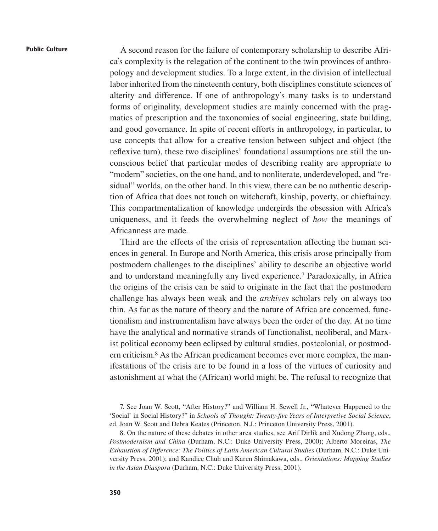A second reason for the failure of contemporary scholarship to describe Africa's complexity is the relegation of the continent to the twin provinces of anthropology and development studies. To a large extent, in the division of intellectual labor inherited from the nineteenth century, both disciplines constitute sciences of alterity and difference. If one of anthropology's many tasks is to understand forms of originality, development studies are mainly concerned with the pragmatics of prescription and the taxonomies of social engineering, state building, and good governance. In spite of recent efforts in anthropology, in particular, to use concepts that allow for a creative tension between subject and object (the reflexive turn), these two disciplines' foundational assumptions are still the unconscious belief that particular modes of describing reality are appropriate to "modern" societies, on the one hand, and to nonliterate, underdeveloped, and "residual" worlds, on the other hand. In this view, there can be no authentic description of Africa that does not touch on witchcraft, kinship, poverty, or chieftaincy. This compartmentalization of knowledge undergirds the obsession with Africa's uniqueness, and it feeds the overwhelming neglect of *how* the meanings of Africanness are made.

Third are the effects of the crisis of representation affecting the human sciences in general. In Europe and North America, this crisis arose principally from postmodern challenges to the disciplines' ability to describe an objective world and to understand meaningfully any lived experience.7 Paradoxically, in Africa the origins of the crisis can be said to originate in the fact that the postmodern challenge has always been weak and the *archives* scholars rely on always too thin. As far as the nature of theory and the nature of Africa are concerned, functionalism and instrumentalism have always been the order of the day. At no time have the analytical and normative strands of functionalist, neoliberal, and Marxist political economy been eclipsed by cultural studies, postcolonial, or postmodern criticism.8 As the African predicament becomes ever more complex, the manifestations of the crisis are to be found in a loss of the virtues of curiosity and astonishment at what the (African) world might be. The refusal to recognize that

<sup>7.</sup> See Joan W. Scott, "After History?" and William H. Sewell Jr., "Whatever Happened to the 'Social' in Social History?" in *Schools of Thought: Twenty-five Years of Interpretive Social Science*, ed. Joan W. Scott and Debra Keates (Princeton, N.J.: Princeton University Press, 2001).

<sup>8.</sup> On the nature of these debates in other area studies, see Arif Dirlik and Xudong Zhang, eds., *Postmodernism and China* (Durham, N.C.: Duke University Press, 2000); Alberto Moreiras, *The Exhaustion of Difference: The Politics of Latin American Cultural Studies* (Durham, N.C.: Duke University Press, 2001); and Kandice Chuh and Karen Shimakawa, eds., *Orientations: Mapping Studies in the Asian Diaspora* (Durham, N.C.: Duke University Press, 2001).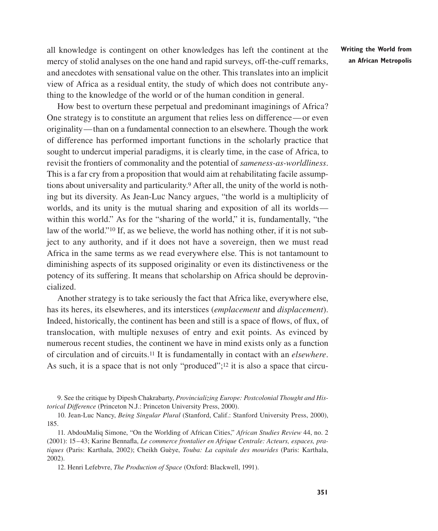all knowledge is contingent on other knowledges has left the continent at the mercy of stolid analyses on the one hand and rapid surveys, off-the-cuff remarks, and anecdotes with sensational value on the other. This translates into an implicit view of Africa as a residual entity, the study of which does not contribute anything to the knowledge of the world or of the human condition in general.

How best to overturn these perpetual and predominant imaginings of Africa? One strategy is to constitute an argument that relies less on difference—or even originality—than on a fundamental connection to an elsewhere. Though the work of difference has performed important functions in the scholarly practice that sought to undercut imperial paradigms, it is clearly time, in the case of Africa, to revisit the frontiers of commonality and the potential of *sameness-as-worldliness*. This is a far cry from a proposition that would aim at rehabilitating facile assumptions about universality and particularity.9 After all, the unity of the world is nothing but its diversity. As Jean-Luc Nancy argues, "the world is a multiplicity of worlds, and its unity is the mutual sharing and exposition of all its worlds within this world." As for the "sharing of the world," it is, fundamentally, "the law of the world."10 If, as we believe, the world has nothing other, if it is not subject to any authority, and if it does not have a sovereign, then we must read Africa in the same terms as we read everywhere else. This is not tantamount to diminishing aspects of its supposed originality or even its distinctiveness or the potency of its suffering. It means that scholarship on Africa should be deprovincialized.

Another strategy is to take seriously the fact that Africa like, everywhere else, has its heres, its elsewheres, and its interstices (*emplacement* and *displacement*). Indeed, historically, the continent has been and still is a space of flows, of flux, of translocation, with multiple nexuses of entry and exit points. As evinced by numerous recent studies, the continent we have in mind exists only as a function of circulation and of circuits.11 It is fundamentally in contact with an *elsewhere*. As such, it is a space that is not only "produced";12 it is also a space that circu-

<sup>9.</sup> See the critique by Dipesh Chakrabarty, *Provincializing Europe: Postcolonial Thought and Historical Difference* (Princeton N.J.: Princeton University Press, 2000).

<sup>10.</sup> Jean-Luc Nancy, *Being Singular Plural* (Stanford, Calif.: Stanford University Press, 2000), 185.

<sup>11.</sup> AbdouMaliq Simone, "On the Worlding of African Cities," *African Studies Review* 44, no. 2 (2001): 15–43; Karine Bennafla, *Le commerce frontalier en Afrique Centrale: Acteurs, espaces, pratiques* (Paris: Karthala, 2002); Cheikh Guèye, *Touba: La capitale des mourides* (Paris: Karthala, 2002).

<sup>12.</sup> Henri Lefebvre, *The Production of Space* (Oxford: Blackwell, 1991).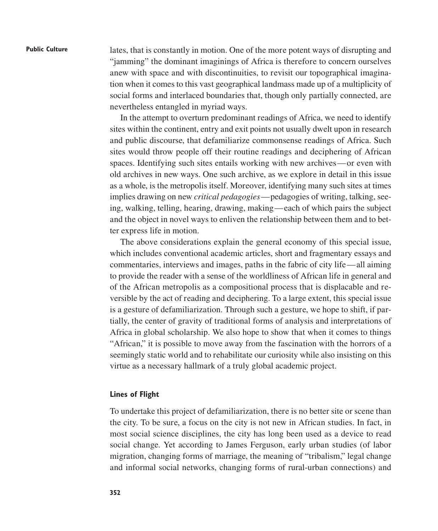lates, that is constantly in motion. One of the more potent ways of disrupting and "jamming" the dominant imaginings of Africa is therefore to concern ourselves anew with space and with discontinuities, to revisit our topographical imagination when it comes to this vast geographical landmass made up of a multiplicity of social forms and interlaced boundaries that, though only partially connected, are nevertheless entangled in myriad ways.

In the attempt to overturn predominant readings of Africa, we need to identify sites within the continent, entry and exit points not usually dwelt upon in research and public discourse, that defamiliarize commonsense readings of Africa. Such sites would throw people off their routine readings and deciphering of African spaces. Identifying such sites entails working with new archives—or even with old archives in new ways. One such archive, as we explore in detail in this issue as a whole, is the metropolis itself. Moreover, identifying many such sites at times implies drawing on new *critical pedagogies*—pedagogies of writing, talking, seeing, walking, telling, hearing, drawing, making—each of which pairs the subject and the object in novel ways to enliven the relationship between them and to better express life in motion.

The above considerations explain the general economy of this special issue, which includes conventional academic articles, short and fragmentary essays and commentaries, interviews and images, paths in the fabric of city life—all aiming to provide the reader with a sense of the worldliness of African life in general and of the African metropolis as a compositional process that is displacable and reversible by the act of reading and deciphering. To a large extent, this special issue is a gesture of defamiliarization. Through such a gesture, we hope to shift, if partially, the center of gravity of traditional forms of analysis and interpretations of Africa in global scholarship. We also hope to show that when it comes to things "African," it is possible to move away from the fascination with the horrors of a seemingly static world and to rehabilitate our curiosity while also insisting on this virtue as a necessary hallmark of a truly global academic project.

#### **Lines of Flight**

To undertake this project of defamiliarization, there is no better site or scene than the city. To be sure, a focus on the city is not new in African studies. In fact, in most social science disciplines, the city has long been used as a device to read social change. Yet according to James Ferguson, early urban studies (of labor migration, changing forms of marriage, the meaning of "tribalism," legal change and informal social networks, changing forms of rural-urban connections) and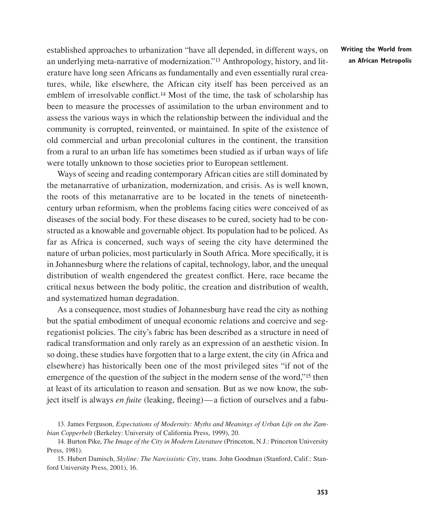established approaches to urbanization "have all depended, in different ways, on an underlying meta-narrative of modernization."13 Anthropology, history, and literature have long seen Africans as fundamentally and even essentially rural creatures, while, like elsewhere, the African city itself has been perceived as an emblem of irresolvable conflict.14 Most of the time, the task of scholarship has been to measure the processes of assimilation to the urban environment and to assess the various ways in which the relationship between the individual and the community is corrupted, reinvented, or maintained. In spite of the existence of old commercial and urban precolonial cultures in the continent, the transition from a rural to an urban life has sometimes been studied as if urban ways of life were totally unknown to those societies prior to European settlement.

Ways of seeing and reading contemporary African cities are still dominated by the metanarrative of urbanization, modernization, and crisis. As is well known, the roots of this metanarrative are to be located in the tenets of nineteenthcentury urban reformism, when the problems facing cities were conceived of as diseases of the social body. For these diseases to be cured, society had to be constructed as a knowable and governable object. Its population had to be policed. As far as Africa is concerned, such ways of seeing the city have determined the nature of urban policies, most particularly in South Africa. More specifically, it is in Johannesburg where the relations of capital, technology, labor, and the unequal distribution of wealth engendered the greatest conflict. Here, race became the critical nexus between the body politic, the creation and distribution of wealth, and systematized human degradation.

As a consequence, most studies of Johannesburg have read the city as nothing but the spatial embodiment of unequal economic relations and coercive and segregationist policies. The city's fabric has been described as a structure in need of radical transformation and only rarely as an expression of an aesthetic vision. In so doing, these studies have forgotten that to a large extent, the city (in Africa and elsewhere) has historically been one of the most privileged sites "if not of the emergence of the question of the subject in the modern sense of the word,"<sup>15</sup> then at least of its articulation to reason and sensation. But as we now know, the subject itself is always *en fuite* (leaking, fleeing)—a fiction of ourselves and a fabu-

<sup>13.</sup> James Ferguson, *Expectations of Modernity: Myths and Meanings of Urban Life on the Zambian Copperbelt* (Berkeley: University of California Press, 1999), 20.

<sup>14.</sup> Burton Pike, *The Image of the City in Modern Literature* (Princeton, N.J.: Princeton University Press, 1981).

<sup>15.</sup> Hubert Damisch, *Skyline: The Narcissistic City*, trans. John Goodman (Stanford, Calif.: Stanford University Press, 2001), 16.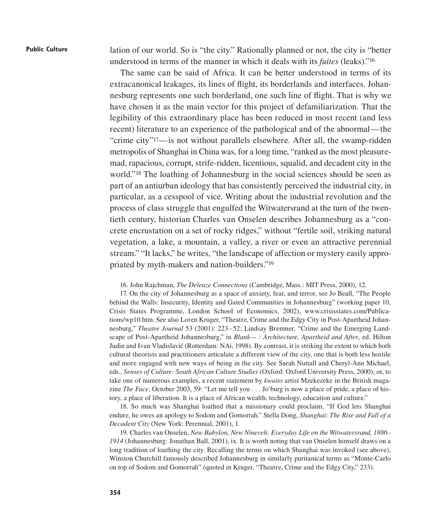lation of our world. So is "the city." Rationally planned or not, the city is "better understood in terms of the manner in which it deals with its *fuites* (leaks)."16

The same can be said of Africa. It can be better understood in terms of its extracanonical leakages, its lines of flight, its borderlands and interfaces. Johannesburg represents one such borderland, one such line of flight. That is why we have chosen it as the main vector for this project of defamiliarization. That the legibility of this extraordinary place has been reduced in most recent (and less recent) literature to an experience of the pathological and of the abnormal—the "crime city"17—is not without parallels elsewhere. After all, the swamp-ridden metropolis of Shanghai in China was, for a long time, "ranked as the most pleasuremad, rapacious, corrupt, strife-ridden, licentious, squalid, and decadent city in the world."18 The loathing of Johannesburg in the social sciences should be seen as part of an antiurban ideology that has consistently perceived the industrial city, in particular, as a cesspool of vice. Writing about the industrial revolution and the process of class struggle that engulfed the Witwatersrand at the turn of the twentieth century, historian Charles van Onselen describes Johannesburg as a "concrete encrustation on a set of rocky ridges," without "fertile soil, striking natural vegetation, a lake, a mountain, a valley, a river or even an attractive perennial stream." "It lacks," he writes, "the landscape of affection or mystery easily appropriated by myth-makers and nation-builders."19

16. John Rajchman, *The Deleuze Connections* (Cambridge, Mass.: MIT Press, 2000), 12.

17. On the city of Johannesburg as a space of anxiety, fear, and terror, see Jo Beall, "The People behind the Walls: Insecurity, Identity and Gated Communities in Johannesburg" (working paper 10, Crisis States Programme, London School of Economics, 2002), www.crisisstates.com/Publications/wp10.htm. See also Loren Kruger, "Theatre, Crime and the Edgy City in Post-Apartheid Johannesburg," *Theatre Journal* 53 (2001): 223–52; Lindsay Bremner, "Crime and the Emerging Landscape of Post-Apartheid Johannesburg," in *Blank— : Architecture, Apartheid and After*, ed. Hilton Judin and Ivan Vladislavić (Rotterdam: NAi, 1998). By contrast, it is striking the extent to which both cultural theorists and practitioners articulate a different view of the city, one that is both less hostile and more engaged with new ways of being in the city. See Sarah Nuttall and Cheryl-Ann Michael, eds., *Senses of Culture: South African Culture Studies* (Oxford: Oxford University Press, 2000); or, to take one of numerous examples, a recent statement by *kwaito* artist Mzekezeke in the British magazine *The Face*, October 2003, 59: "Let me tell you . . . Jo'burg is now a place of pride, a place of history, a place of liberation. It is a place of African wealth, technology, education and culture."

18. So much was Shanghai loathed that a missionary could proclaim, "If God lets Shanghai endure, he owes an apology to Sodom and Gomorrah." Stella Dong, *Shanghai: The Rise and Fall of a Decadent City* (New York: Perennial, 2001), 1.

19. Charles van Onselen, *New Babylon, New Nineveh: Everyday Life on the Witwatersrand, 1886– 1914* (Johannesburg: Jonathan Ball, 2001), ix. It is worth noting that van Onselen himself draws on a long tradition of loathing the city. Recalling the terms on which Shanghai was invoked (see above), Winston Churchill famously described Johannesburg in similarly puritanical terms as "Monte-Carlo on top of Sodom and Gomorrah" (quoted in Kruger, "Theatre, Crime and the Edgy City," 233).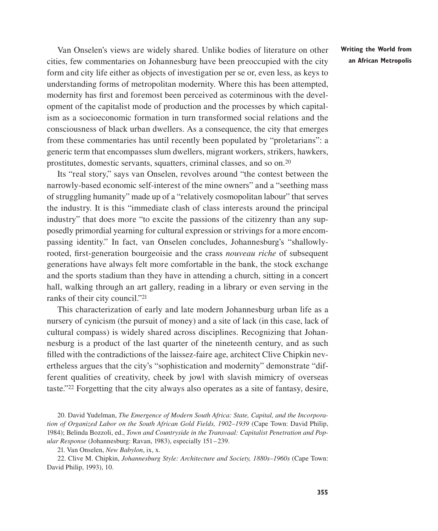Van Onselen's views are widely shared. Unlike bodies of literature on other cities, few commentaries on Johannesburg have been preoccupied with the city form and city life either as objects of investigation per se or, even less, as keys to understanding forms of metropolitan modernity. Where this has been attempted, modernity has first and foremost been perceived as coterminous with the development of the capitalist mode of production and the processes by which capitalism as a socioeconomic formation in turn transformed social relations and the consciousness of black urban dwellers. As a consequence, the city that emerges from these commentaries has until recently been populated by "proletarians": a generic term that encompasses slum dwellers, migrant workers, strikers, hawkers, prostitutes, domestic servants, squatters, criminal classes, and so on.20

Its "real story," says van Onselen, revolves around "the contest between the narrowly-based economic self-interest of the mine owners" and a "seething mass of struggling humanity" made up of a "relatively cosmopolitan labour" that serves the industry. It is this "immediate clash of class interests around the principal industry" that does more "to excite the passions of the citizenry than any supposedly primordial yearning for cultural expression or strivings for a more encompassing identity." In fact, van Onselen concludes, Johannesburg's "shallowlyrooted, first-generation bourgeoisie and the crass *nouveau riche* of subsequent generations have always felt more comfortable in the bank, the stock exchange and the sports stadium than they have in attending a church, sitting in a concert hall, walking through an art gallery, reading in a library or even serving in the ranks of their city council."21

This characterization of early and late modern Johannesburg urban life as a nursery of cynicism (the pursuit of money) and a site of lack (in this case, lack of cultural compass) is widely shared across disciplines. Recognizing that Johannesburg is a product of the last quarter of the nineteenth century, and as such filled with the contradictions of the laissez-faire age, architect Clive Chipkin nevertheless argues that the city's "sophistication and modernity" demonstrate "different qualities of creativity, cheek by jowl with slavish mimicry of overseas taste."22 Forgetting that the city always also operates as a site of fantasy, desire,

<sup>20.</sup> David Yudelman, *The Emergence of Modern South Africa: State, Capital, and the Incorporation of Organized Labor on the South African Gold Fields, 1902–1939* (Cape Town: David Philip, 1984); Belinda Bozzoli, ed., *Town and Countryside in the Transvaal: Capitalist Penetration and Popular Response* (Johannesburg: Ravan, 1983), especially 151–239.

<sup>21.</sup> Van Onselen, *New Babylon*, ix, x.

<sup>22.</sup> Clive M. Chipkin, *Johannesburg Style: Architecture and Society, 1880s–1960s* (Cape Town: David Philip, 1993), 10.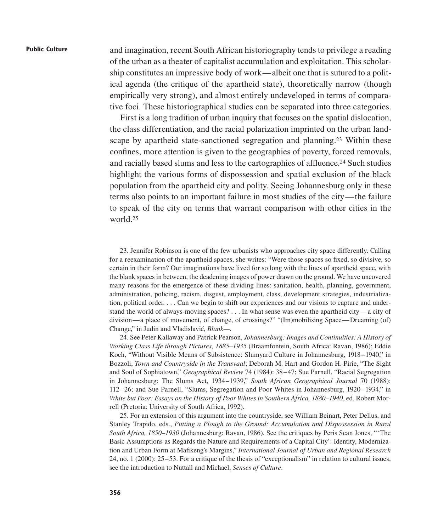and imagination, recent South African historiography tends to privilege a reading of the urban as a theater of capitalist accumulation and exploitation. This scholarship constitutes an impressive body of work—albeit one that is sutured to a political agenda (the critique of the apartheid state), theoretically narrow (though empirically very strong), and almost entirely undeveloped in terms of comparative foci. These historiographical studies can be separated into three categories.

First is a long tradition of urban inquiry that focuses on the spatial dislocation, the class differentiation, and the racial polarization imprinted on the urban landscape by apartheid state-sanctioned segregation and planning.23 Within these confines, more attention is given to the geographies of poverty, forced removals, and racially based slums and less to the cartographies of affluence.24 Such studies highlight the various forms of dispossession and spatial exclusion of the black population from the apartheid city and polity. Seeing Johannesburg only in these terms also points to an important failure in most studies of the city—the failure to speak of the city on terms that warrant comparison with other cities in the world.25

23. Jennifer Robinson is one of the few urbanists who approaches city space differently. Calling for a reexamination of the apartheid spaces, she writes: "Were those spaces so fixed, so divisive, so certain in their form? Our imaginations have lived for so long with the lines of apartheid space, with the blank spaces in between, the deadening images of power drawn on the ground. We have uncovered many reasons for the emergence of these dividing lines: sanitation, health, planning, government, administration, policing, racism, disgust, employment, class, development strategies, industrialization, political order. . . . Can we begin to shift our experiences and our visions to capture and understand the world of always-moving spaces? . . . In what sense was even the apartheid city—a city of division—a place of movement, of change, of crossings?" "(Im)mobilising Space—Dreaming (of) Change," in Judin and Vladislavic´, *Blank—*.

24. See Peter Kallaway and Patrick Pearson, *Johannesburg: Images and Continuities: A History of Working Class Life through Pictures, 1885–1935* (Braamfontein, South Africa: Ravan, 1986); Eddie Koch, "Without Visible Means of Subsistence: Slumyard Culture in Johannesburg, 1918–1940," in Bozzoli, *Town and Countryside in the Transvaal*; Deborah M. Hart and Gordon H. Pirie, "The Sight and Soul of Sophiatown," *Geographical Review* 74 (1984): 38–47; Sue Parnell, "Racial Segregation in Johannesburg: The Slums Act, 1934–1939," *South African Geographical Journal* 70 (1988): 112–26; and Sue Parnell, "Slums, Segregation and Poor Whites in Johannesburg, 1920–1934," in *White but Poor: Essays on the History of Poor Whites in Southern Africa, 1880–1940*, ed. Robert Morrell (Pretoria: University of South Africa, 1992).

25. For an extension of this argument into the countryside, see William Beinart, Peter Delius, and Stanley Trapido, eds., *Putting a Plough to the Ground: Accumulation and Dispossession in Rural South Africa, 1850–1930* (Johannesburg: Ravan, 1986). See the critiques by Peris Sean Jones, "'The Basic Assumptions as Regards the Nature and Requirements of a Capital City': Identity, Modernization and Urban Form at Mafikeng's Margins," *International Journal of Urban and Regional Research* 24, no. 1 (2000): 25–53. For a critique of the thesis of "exceptionalism" in relation to cultural issues, see the introduction to Nuttall and Michael, *Senses of Culture*.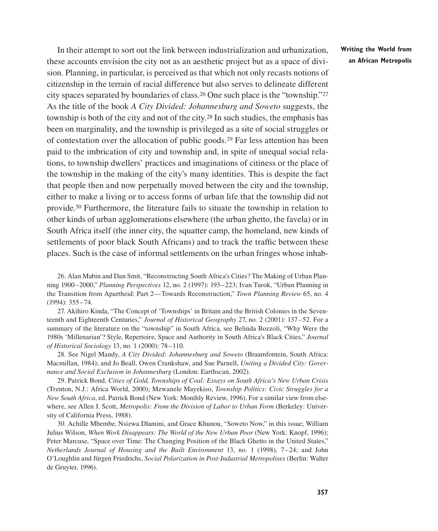In their attempt to sort out the link between industrialization and urbanization, these accounts envision the city not as an aesthetic project but as a space of division. Planning, in particular, is perceived as that which not only recasts notions of citizenship in the terrain of racial difference but also serves to delineate different city spaces separated by boundaries of class.26 One such place is the "township."27 As the title of the book *A City Divided: Johannesburg and Soweto* suggests, the township is both of the city and not of the city.28 In such studies, the emphasis has been on marginality, and the township is privileged as a site of social struggles or of contestation over the allocation of public goods.29 Far less attention has been paid to the imbrication of city and township and, in spite of unequal social relations, to township dwellers' practices and imaginations of citiness or the place of the township in the making of the city's many identities. This is despite the fact that people then and now perpetually moved between the city and the township, either to make a living or to access forms of urban life that the township did not provide.30 Furthermore, the literature fails to situate the township in relation to other kinds of urban agglomerations elsewhere (the urban ghetto, the favela) or in South Africa itself (the inner city, the squatter camp, the homeland, new kinds of settlements of poor black South Africans) and to track the traffic between these places. Such is the case of informal settlements on the urban fringes whose inhab-

26. Alan Mabin and Dan Smit, "Reconstructing South Africa's Cities? The Making of Urban Planning 1900–2000," *Planning Perspectives* 12, no. 2 (1997): 193–223; Ivan Turok, "Urban Planning in the Transition from Apartheid: Part 2—Towards Reconstruction," *Town Planning Review* 65, no. 4 (1994): 355–74.

27. Akihiro Kinda, "The Concept of 'Townships' in Britain and the British Colonies in the Seventeenth and Eighteenth Centuries," *Journal of Historical Geography* 27, no. 2 (2001): 137–52. For a summary of the literature on the "township" in South Africa, see Belinda Bozzoli, "Why Were the 1980s 'Millenarian'? Style, Repertoire, Space and Authority in South Africa's Black Cities," *Journal of Historical Sociology* 13, no. 1 (2000): 78–110.

28. See Nigel Mandy, *A City Divided: Johannesburg and Soweto* (Braamfontein, South Africa: Macmillan, 1984); and Jo Beall, Owen Crankshaw, and Sue Parnell, *Uniting a Divided City: Governance and Social Exclusion in Johannesburg* (London: Earthscan, 2002).

29. Patrick Bond, *Cities of Gold, Townships of Coal: Essays on South Africa's New Urban Crisis* (Trenton, N.J.: Africa World, 2000); Mzwanele Mayekiso, *Township Politics: Civic Struggles for a New South Africa*, ed. Patrick Bond (New York: Monthly Review, 1996). For a similar view from elsewhere, see Allen J. Scott, *Metropolis: From the Division of Labor to Urban Form* (Berkeley: University of California Press, 1988).

30. Achille Mbembe, Nsizwa Dlamini, and Grace Khunou, "Soweto Now," in this issue; William Julius Wilson, *When Work Disappears: The World of the New Urban Poor* (New York: Knopf, 1996); Peter Marcuse, "Space over Time: The Changing Position of the Black Ghetto in the United States," *Netherlands Journal of Housing and the Built Environment* 13, no. 1 (1998), 7–24; and John O'Loughlin and Jürgen Friedrichs, *Social Polarization in Post-Industrial Metropolises* (Berlin: Walter de Gruyter, 1996).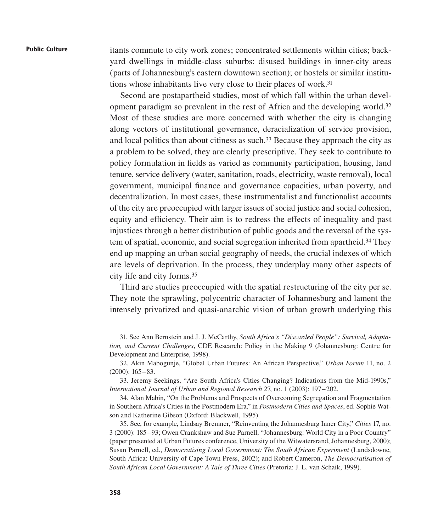itants commute to city work zones; concentrated settlements within cities; backyard dwellings in middle-class suburbs; disused buildings in inner-city areas (parts of Johannesburg's eastern downtown section); or hostels or similar institutions whose inhabitants live very close to their places of work.31

Second are postapartheid studies, most of which fall within the urban development paradigm so prevalent in the rest of Africa and the developing world.32 Most of these studies are more concerned with whether the city is changing along vectors of institutional governance, deracialization of service provision, and local politics than about citiness as such.33 Because they approach the city as a problem to be solved, they are clearly prescriptive. They seek to contribute to policy formulation in fields as varied as community participation, housing, land tenure, service delivery (water, sanitation, roads, electricity, waste removal), local government, municipal finance and governance capacities, urban poverty, and decentralization. In most cases, these instrumentalist and functionalist accounts of the city are preoccupied with larger issues of social justice and social cohesion, equity and efficiency. Their aim is to redress the effects of inequality and past injustices through a better distribution of public goods and the reversal of the system of spatial, economic, and social segregation inherited from apartheid.34 They end up mapping an urban social geography of needs, the crucial indexes of which are levels of deprivation. In the process, they underplay many other aspects of city life and city forms.35

Third are studies preoccupied with the spatial restructuring of the city per se. They note the sprawling, polycentric character of Johannesburg and lament the intensely privatized and quasi-anarchic vision of urban growth underlying this

<sup>31.</sup> See Ann Bernstein and J. J. McCarthy, *South Africa's "Discarded People": Survival, Adaptation, and Current Challenges*, CDE Research: Policy in the Making 9 (Johannesburg: Centre for Development and Enterprise, 1998).

<sup>32.</sup> Akin Mabogunje, "Global Urban Futures: An African Perspective," *Urban Forum* 11, no. 2 (2000): 165–83.

<sup>33.</sup> Jeremy Seekings, "Are South Africa's Cities Changing? Indications from the Mid-1990s," *International Journal of Urban and Regional Research* 27, no. 1 (2003): 197–202.

<sup>34.</sup> Alan Mabin, "On the Problems and Prospects of Overcoming Segregation and Fragmentation in Southern Africa's Cities in the Postmodern Era," in *Postmodern Cities and Spaces*, ed. Sophie Watson and Katherine Gibson (Oxford: Blackwell, 1995).

<sup>35.</sup> See, for example, Lindsay Bremner, "Reinventing the Johannesburg Inner City," *Cities* 17, no. 3 (2000): 185–93; Owen Crankshaw and Sue Parnell, "Johannesburg: World City in a Poor Country" (paper presented at Urban Futures conference, University of the Witwatersrand, Johannesburg, 2000); Susan Parnell, ed., *Democratising Local Government: The South African Experiment* (Landsdowne, South Africa: University of Cape Town Press, 2002); and Robert Cameron, *The Democratisation of South African Local Government: A Tale of Three Cities* (Pretoria: J. L. van Schaik, 1999).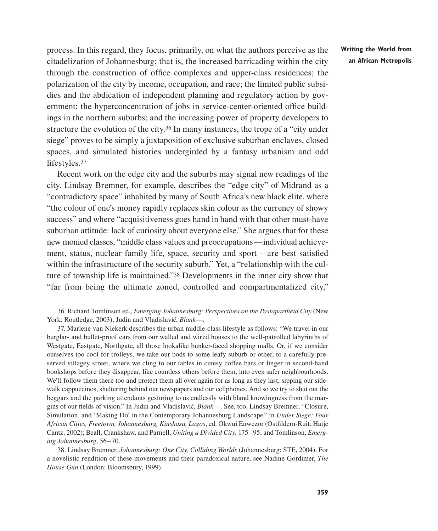process. In this regard, they focus, primarily, on what the authors perceive as the citadelization of Johannesburg; that is, the increased barricading within the city through the construction of office complexes and upper-class residences; the polarization of the city by income, occupation, and race; the limited public subsidies and the abdication of independent planning and regulatory action by government; the hyperconcentration of jobs in service-center-oriented office buildings in the northern suburbs; and the increasing power of property developers to structure the evolution of the city.36 In many instances, the trope of a "city under siege" proves to be simply a juxtaposition of exclusive suburban enclaves, closed spaces, and simulated histories undergirded by a fantasy urbanism and odd lifestyles.37

Recent work on the edge city and the suburbs may signal new readings of the city. Lindsay Bremner, for example, describes the "edge city" of Midrand as a "contradictory space" inhabited by many of South Africa's new black elite, where "the colour of one's money rapidly replaces skin colour as the currency of showy success" and where "acquisitiveness goes hand in hand with that other must-have suburban attitude: lack of curiosity about everyone else." She argues that for these new monied classes, "middle class values and preoccupations—individual achievement, status, nuclear family life, space, security and sport—are best satisfied within the infrastructure of the security suburb." Yet, a "relationship with the culture of township life is maintained."38 Developments in the inner city show that "far from being the ultimate zoned, controlled and compartmentalized city,"

36. Richard Tomlinson ed., *Emerging Johannesburg: Perspectives on the Postapartheid City* (New York: Routledge, 2003); Judin and Vladislavić, *Blank*-

37. Marlene van Niekerk describes the urban middle-class lifestyle as follows: "We travel in our burglar- and bullet-proof cars from our walled and wired houses to the well-patrolled labyrinths of Westgate, Eastgate, Northgate, all those lookalike bunker-faced shopping malls. Or, if we consider ourselves too cool for trolleys, we take our bods to some leafy suburb or other, to a carefully preserved villagey street, where we cling to our tables in cutesy coffee bars or linger in second-hand bookshops before they disappear, like countless others before them, into even safer neighbourhoods. We'll follow them there too and protect them all over again for as long as they last, sipping our sidewalk cappuccinos, sheltering behind our newspapers and our cellphones. And so we try to shut out the beggars and the parking attendants gesturing to us endlessly with bland knowingness from the margins of our fields of vision." In Judin and Vladislavić, *Blank*—. See, too, Lindsay Bremner, "Closure, Simulation, and 'Making Do' in the Contemporary Johannesburg Landscape," in *Under Siege: Four African Cities, Freetown, Johannesburg, Kinshasa, Lagos*, ed. Okwui Enwezor (Ostfildern-Ruit: Hatje Cantz, 2002); Beall, Crankshaw, and Parnell, *Uniting a Divided City*, 175–95; and Tomlinson, *Emerging Johannesburg*, 56–70.

38. Lindsay Bremner, *Johannesburg: One City, Colliding Worlds* (Johannesburg: STE, 2004). For a novelistic rendition of these movements and their paradoxical nature, see Nadine Gordimer, *The House Gun* (London: Bloomsbury, 1999).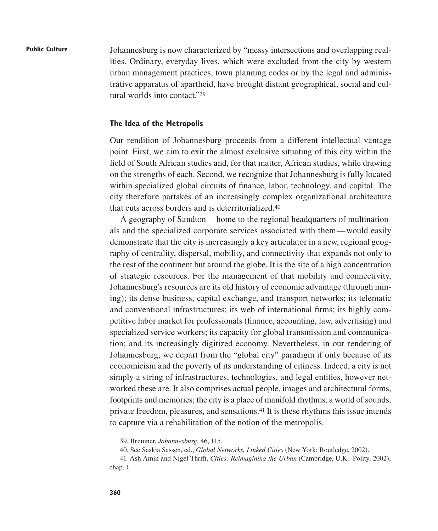Johannesburg is now characterized by "messy intersections and overlapping realities. Ordinary, everyday lives, which were excluded from the city by western urban management practices, town planning codes or by the legal and administrative apparatus of apartheid, have brought distant geographical, social and cultural worlds into contact."39

#### **The Idea of the Metropolis**

Our rendition of Johannesburg proceeds from a different intellectual vantage point. First, we aim to exit the almost exclusive situating of this city within the field of South African studies and, for that matter, African studies, while drawing on the strengths of each. Second, we recognize that Johannesburg is fully located within specialized global circuits of finance, labor, technology, and capital. The city therefore partakes of an increasingly complex organizational architecture that cuts across borders and is deterritorialized.40

A geography of Sandton—home to the regional headquarters of multinationals and the specialized corporate services associated with them—would easily demonstrate that the city is increasingly a key articulator in a new, regional geography of centrality, dispersal, mobility, and connectivity that expands not only to the rest of the continent but around the globe. It is the site of a high concentration of strategic resources. For the management of that mobility and connectivity, Johannesburg's resources are its old history of economic advantage (through mining); its dense business, capital exchange, and transport networks; its telematic and conventional infrastructures; its web of international firms; its highly competitive labor market for professionals (finance, accounting, law, advertising) and specialized service workers; its capacity for global transmission and communication; and its increasingly digitized economy. Nevertheless, in our rendering of Johannesburg, we depart from the "global city" paradigm if only because of its economicism and the poverty of its understanding of citiness. Indeed, a city is not simply a string of infrastructures, technologies, and legal entities, however networked these are. It also comprises actual people, images and architectural forms, footprints and memories; the city is a place of manifold rhythms, a world of sounds, private freedom, pleasures, and sensations.41 It is these rhythms this issue intends to capture via a rehabilitation of the notion of the metropolis.

<sup>39.</sup> Bremner, *Johannesburg*, 46, 115.

<sup>40.</sup> See Saskia Sassen, ed., *Global Networks, Linked Cities* (New York: Routledge, 2002).

<sup>41.</sup> Ash Amin and Nigel Thrift, *Cities: Reimagining the Urban* (Cambridge, U.K.: Polity, 2002), chap. 1.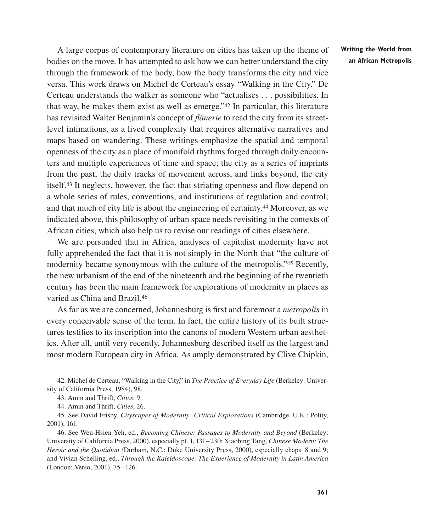A large corpus of contemporary literature on cities has taken up the theme of bodies on the move. It has attempted to ask how we can better understand the city through the framework of the body, how the body transforms the city and vice versa. This work draws on Michel de Certeau's essay "Walking in the City." De Certeau understands the walker as someone who "actualises . . . possibilities. In that way, he makes them exist as well as emerge."42 In particular, this literature has revisited Walter Benjamin's concept of *flânerie* to read the city from its streetlevel intimations, as a lived complexity that requires alternative narratives and maps based on wandering. These writings emphasize the spatial and temporal openness of the city as a place of manifold rhythms forged through daily encounters and multiple experiences of time and space; the city as a series of imprints from the past, the daily tracks of movement across, and links beyond, the city itself.43 It neglects, however, the fact that striating openness and flow depend on a whole series of rules, conventions, and institutions of regulation and control; and that much of city life is about the engineering of certainty.44 Moreover, as we indicated above, this philosophy of urban space needs revisiting in the contexts of African cities, which also help us to revise our readings of cities elsewhere.

We are persuaded that in Africa, analyses of capitalist modernity have not fully apprehended the fact that it is not simply in the North that "the culture of modernity became synonymous with the culture of the metropolis."45 Recently, the new urbanism of the end of the nineteenth and the beginning of the twentieth century has been the main framework for explorations of modernity in places as varied as China and Brazil.46

As far as we are concerned, Johannesburg is first and foremost a *metropolis* in every conceivable sense of the term. In fact, the entire history of its built structures testifies to its inscription into the canons of modern Western urban aesthetics. After all, until very recently, Johannesburg described itself as the largest and most modern European city in Africa. As amply demonstrated by Clive Chipkin,

42. Michel de Certeau, "Walking in the City," in *The Practice of Everyday Life* (Berkeley: University of California Press, 1984), 98.

44. Amin and Thrift, *Cities*, 26.

45. See David Frisby, *Cityscapes of Modernity: Critical Explorations* (Cambridge, U.K.: Polity, 2001), 161.

46. See Wen-Hsien Yeh, ed., *Becoming Chinese: Passages to Modernity and Beyond* (Berkeley: University of California Press, 2000), especially pt. 1, 131–230; Xiaobing Tang, *Chinese Modern: The Heroic and the Quotidian (*Durham, N.C.: Duke University Press, 2000), especially chaps. 8 and 9; and Vivian Schelling, ed., *Through the Kaleidoscope: The Experience of Modernity in Latin America* (London: Verso, 2001), 75–126.

<sup>43.</sup> Amin and Thrift, *Cities*, 9.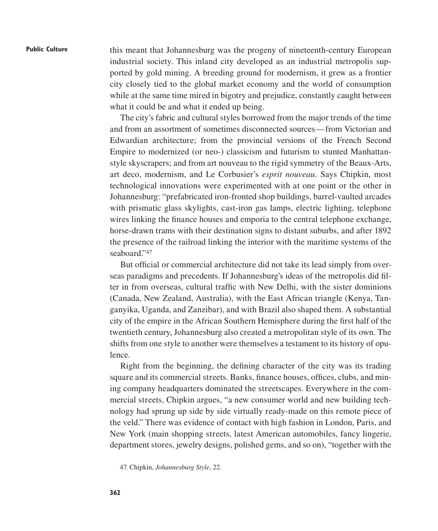this meant that Johannesburg was the progeny of nineteenth-century European industrial society. This inland city developed as an industrial metropolis supported by gold mining. A breeding ground for modernism, it grew as a frontier city closely tied to the global market economy and the world of consumption while at the same time mired in bigotry and prejudice, constantly caught between what it could be and what it ended up being.

The city's fabric and cultural styles borrowed from the major trends of the time and from an assortment of sometimes disconnected sources—from Victorian and Edwardian architecture; from the provincial versions of the French Second Empire to modernized (or neo-) classicism and futurism to stunted Manhattanstyle skyscrapers; and from art nouveau to the rigid symmetry of the Beaux-Arts, art deco, modernism, and Le Corbusier's *esprit nouveau*. Says Chipkin, most technological innovations were experimented with at one point or the other in Johannesburg: "prefabricated iron-fronted shop buildings, barrel-vaulted arcades with prismatic glass skylights, cast-iron gas lamps, electric lighting, telephone wires linking the finance houses and emporia to the central telephone exchange, horse-drawn trams with their destination signs to distant suburbs, and after 1892 the presence of the railroad linking the interior with the maritime systems of the seaboard."47

But official or commercial architecture did not take its lead simply from overseas paradigms and precedents. If Johannesburg's ideas of the metropolis did filter in from overseas, cultural traffic with New Delhi, with the sister dominions (Canada, New Zealand, Australia), with the East African triangle (Kenya, Tanganyika, Uganda, and Zanzibar), and with Brazil also shaped them. A substantial city of the empire in the African Southern Hemisphere during the first half of the twentieth century, Johannesburg also created a metropolitan style of its own. The shifts from one style to another were themselves a testament to its history of opulence.

Right from the beginning, the defining character of the city was its trading square and its commercial streets. Banks, finance houses, offices, clubs, and mining company headquarters dominated the streetscapes. Everywhere in the commercial streets, Chipkin argues, "a new consumer world and new building technology had sprung up side by side virtually ready-made on this remote piece of the veld." There was evidence of contact with high fashion in London, Paris, and New York (main shopping streets, latest American automobiles, fancy lingerie, department stores, jewelry designs, polished gems, and so on), "together with the

<sup>47.</sup> Chipkin, *Johannesburg Style*, 22.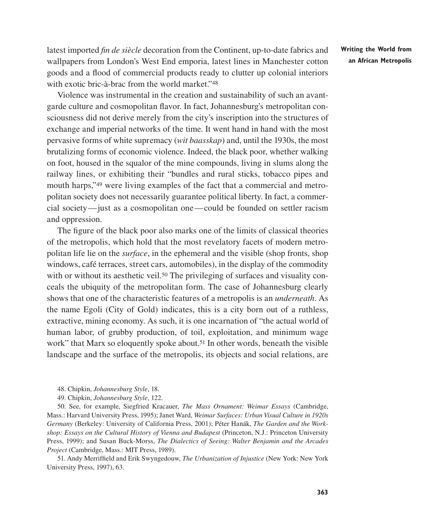latest imported *fin de siècle* decoration from the Continent, up-to-date fabrics and wallpapers from London's West End emporia, latest lines in Manchester cotton goods and a flood of commercial products ready to clutter up colonial interiors with exotic bric-à-brac from the world market."48

**Writing the World from an African Metropolis**

Violence was instrumental in the creation and sustainability of such an avantgarde culture and cosmopolitan flavor. In fact, Johannesburg's metropolitan consciousness did not derive merely from the city's inscription into the structures of exchange and imperial networks of the time. It went hand in hand with the most pervasive forms of white supremacy (*wit baasskap*) and, until the 1930s, the most brutalizing forms of economic violence. Indeed, the black poor, whether walking on foot, housed in the squalor of the mine compounds, living in slums along the railway lines, or exhibiting their "bundles and rural sticks, tobacco pipes and mouth harps,"49 were living examples of the fact that a commercial and metropolitan society does not necessarily guarantee political liberty. In fact, a commercial society—just as a cosmopolitan one—could be founded on settler racism and oppression.

The figure of the black poor also marks one of the limits of classical theories of the metropolis, which hold that the most revelatory facets of modern metropolitan life lie on the *surface*, in the ephemeral and the visible (shop fronts, shop windows, café terraces, street cars, automobiles), in the display of the commodity with or without its aesthetic veil.<sup>50</sup> The privileging of surfaces and visuality conceals the ubiquity of the metropolitan form. The case of Johannesburg clearly shows that one of the characteristic features of a metropolis is an *underneath*. As the name Egoli (City of Gold) indicates, this is a city born out of a ruthless, extractive, mining economy. As such, it is one incarnation of "the actual world of human labor, of grubby production, of toil, exploitation, and minimum wage work" that Marx so eloquently spoke about.<sup>51</sup> In other words, beneath the visible landscape and the surface of the metropolis, its objects and social relations, are

49. Chipkin, *Johannesburg Style*, 122.

50. See, for example, Siegfried Kracauer, *The Mass Ornament: Weimar Essays* (Cambridge, Mass.: Harvard University Press, 1995); Janet Ward, *Weimar Surfaces: Urban Visual Culture in 1920s Germany* (Berkeley: University of California Press, 2001); Péter Hanák, *The Garden and the Workshop: Essays on the Cultural History of Vienna and Budapest* (Princeton, N.J.: Princeton University Press, 1999); and Susan Buck-Morss, *The Dialectics of Seeing: Walter Benjamin and the Arcades Project* (Cambridge, Mass.: MIT Press, 1989).

51. Andy Merriffield and Erik Swyngedouw, *The Urbanization of Injustice* (New York: New York University Press, 1997), 63.

<sup>48.</sup> Chipkin, *Johannesburg Style*, 18.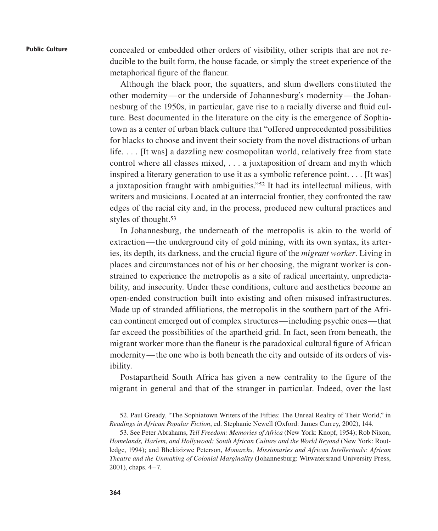concealed or embedded other orders of visibility, other scripts that are not reducible to the built form, the house facade, or simply the street experience of the metaphorical figure of the flaneur.

Although the black poor, the squatters, and slum dwellers constituted the other modernity—or the underside of Johannesburg's modernity—the Johannesburg of the 1950s, in particular, gave rise to a racially diverse and fluid culture. Best documented in the literature on the city is the emergence of Sophiatown as a center of urban black culture that "offered unprecedented possibilities for blacks to choose and invent their society from the novel distractions of urban life. . . . [It was] a dazzling new cosmopolitan world, relatively free from state control where all classes mixed, . . . a juxtaposition of dream and myth which inspired a literary generation to use it as a symbolic reference point. . . . [It was] a juxtaposition fraught with ambiguities."52 It had its intellectual milieus, with writers and musicians. Located at an interracial frontier, they confronted the raw edges of the racial city and, in the process, produced new cultural practices and styles of thought.53

In Johannesburg, the underneath of the metropolis is akin to the world of extraction—the underground city of gold mining, with its own syntax, its arteries, its depth, its darkness, and the crucial figure of the *migrant worker*. Living in places and circumstances not of his or her choosing, the migrant worker is constrained to experience the metropolis as a site of radical uncertainty, unpredictability, and insecurity. Under these conditions, culture and aesthetics become an open-ended construction built into existing and often misused infrastructures. Made up of stranded affiliations, the metropolis in the southern part of the African continent emerged out of complex structures—including psychic ones—that far exceed the possibilities of the apartheid grid. In fact, seen from beneath, the migrant worker more than the flaneur is the paradoxical cultural figure of African modernity—the one who is both beneath the city and outside of its orders of visibility.

Postapartheid South Africa has given a new centrality to the figure of the migrant in general and that of the stranger in particular. Indeed, over the last

<sup>52.</sup> Paul Gready, "The Sophiatown Writers of the Fifties: The Unreal Reality of Their World," in *Readings in African Popular Fiction*, ed. Stephanie Newell (Oxford: James Currey, 2002), 144.

<sup>53.</sup> See Peter Abrahams, *Tell Freedom: Memories of Africa* (New York: Knopf, 1954); Rob Nixon, *Homelands, Harlem, and Hollywood: South African Culture and the World Beyond* (New York: Routledge, 1994); and Bhekizizwe Peterson, *Monarchs, Missionaries and African Intellectuals: African Theatre and the Unmaking of Colonial Marginality* (Johannesburg: Witwatersrand University Press, 2001), chaps. 4–7.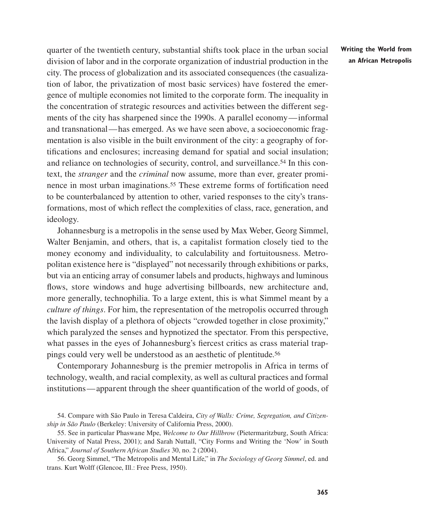quarter of the twentieth century, substantial shifts took place in the urban social division of labor and in the corporate organization of industrial production in the city. The process of globalization and its associated consequences (the casualization of labor, the privatization of most basic services) have fostered the emergence of multiple economies not limited to the corporate form. The inequality in the concentration of strategic resources and activities between the different segments of the city has sharpened since the 1990s. A parallel economy—informal and transnational—has emerged. As we have seen above, a socioeconomic fragmentation is also visible in the built environment of the city: a geography of fortifications and enclosures; increasing demand for spatial and social insulation; and reliance on technologies of security, control, and surveillance.54 In this context, the *stranger* and the *criminal* now assume, more than ever, greater prominence in most urban imaginations.55 These extreme forms of fortification need to be counterbalanced by attention to other, varied responses to the city's transformations, most of which reflect the complexities of class, race, generation, and ideology.

Johannesburg is a metropolis in the sense used by Max Weber, Georg Simmel, Walter Benjamin, and others, that is, a capitalist formation closely tied to the money economy and individuality, to calculability and fortuitousness. Metropolitan existence here is "displayed" not necessarily through exhibitions or parks, but via an enticing array of consumer labels and products, highways and luminous flows, store windows and huge advertising billboards, new architecture and, more generally, technophilia. To a large extent, this is what Simmel meant by a *culture of things*. For him, the representation of the metropolis occurred through the lavish display of a plethora of objects "crowded together in close proximity," which paralyzed the senses and hypnotized the spectator. From this perspective, what passes in the eyes of Johannesburg's fiercest critics as crass material trappings could very well be understood as an aesthetic of plentitude.56

Contemporary Johannesburg is the premier metropolis in Africa in terms of technology, wealth, and racial complexity, as well as cultural practices and formal institutions—apparent through the sheer quantification of the world of goods, of

<sup>54.</sup> Compare with São Paulo in Teresa Caldeira, *City of Walls: Crime, Segregation, and Citizenship in São Paulo* (Berkeley: University of California Press, 2000).

<sup>55.</sup> See in particular Phaswane Mpe, *Welcome to Our Hillbrow* (Pietermaritzburg, South Africa: University of Natal Press, 2001); and Sarah Nuttall, "City Forms and Writing the 'Now' in South Africa," *Journal of Southern African Studies* 30, no. 2 (2004).

<sup>56.</sup> Georg Simmel, "The Metropolis and Mental Life," in *The Sociology of Georg Simmel*, ed. and trans. Kurt Wolff (Glencoe, Ill.: Free Press, 1950).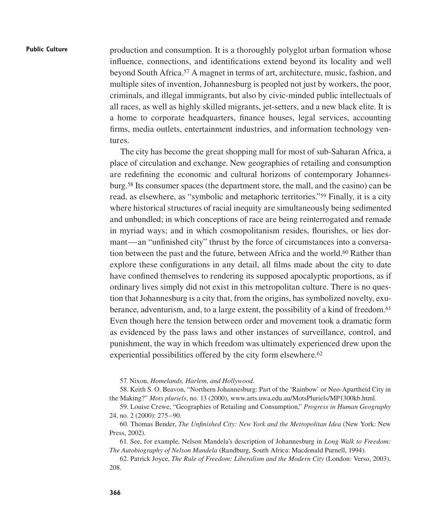production and consumption. It is a thoroughly polyglot urban formation whose influence, connections, and identifications extend beyond its locality and well beyond South Africa.57 A magnet in terms of art, architecture, music, fashion, and multiple sites of invention, Johannesburg is peopled not just by workers, the poor, criminals, and illegal immigrants, but also by civic-minded public intellectuals of all races, as well as highly skilled migrants, jet-setters, and a new black elite. It is a home to corporate headquarters, finance houses, legal services, accounting firms, media outlets, entertainment industries, and information technology ventures.

The city has become the great shopping mall for most of sub-Saharan Africa, a place of circulation and exchange. New geographies of retailing and consumption are redefining the economic and cultural horizons of contemporary Johannesburg.58 Its consumer spaces (the department store, the mall, and the casino) can be read, as elsewhere, as "symbolic and metaphoric territories."59 Finally, it is a city where historical structures of racial inequity are simultaneously being sedimented and unbundled; in which conceptions of race are being reinterrogated and remade in myriad ways; and in which cosmopolitanism resides, flourishes, or lies dormant—an "unfinished city" thrust by the force of circumstances into a conversation between the past and the future, between Africa and the world.60 Rather than explore these configurations in any detail, all films made about the city to date have confined themselves to rendering its supposed apocalyptic proportions, as if ordinary lives simply did not exist in this metropolitan culture. There is no question that Johannesburg is a city that, from the origins, has symbolized novelty, exuberance, adventurism, and, to a large extent, the possibility of a kind of freedom.61 Even though here the tension between order and movement took a dramatic form as evidenced by the pass laws and other instances of surveillance, control, and punishment, the way in which freedom was ultimately experienced drew upon the experiential possibilities offered by the city form elsewhere.62

57. Nixon, *Homelands, Harlem, and Hollywood*.

59. Louise Crewe, "Geographies of Retailing and Consumption," *Progress in Human Geography* 24, no. 2 (2000): 275–90.

60. Thomas Bender, *The Unfinished City: New York and the Metropolitan Idea* (New York: New Press, 2002).

61. See, for example, Nelson Mandela's description of Johannesburg in *Long Walk to Freedom: The Autobiography of Nelson Mandela* (Randburg, South Africa: Macdonald Purnell, 1994).

62. Patrick Joyce, *The Rule of Freedom: Liberalism and the Modern City* (London: Verso, 2003), 208.

<sup>58.</sup> Keith S. O. Beavon, "Northern Johannesburg: Part of the 'Rainbow' or Neo-Apartheid City in the Making?" *Mots pluriels*, no. 13 (2000), www.arts.uwa.edu.au/MotsPluriels/MP1300kb.html.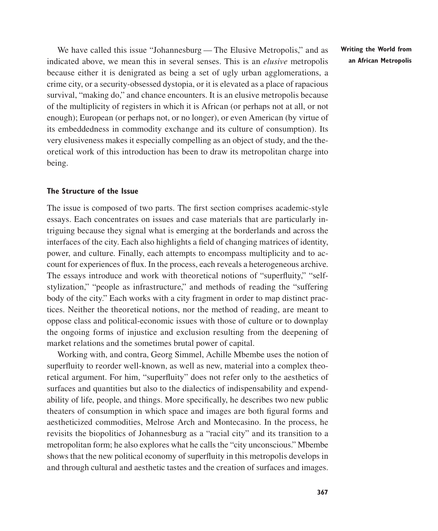We have called this issue "Johannesburg — The Elusive Metropolis," and as indicated above, we mean this in several senses. This is an *elusive* metropolis because either it is denigrated as being a set of ugly urban agglomerations, a crime city, or a security-obsessed dystopia, or it is elevated as a place of rapacious survival, "making do," and chance encounters. It is an elusive metropolis because of the multiplicity of registers in which it is African (or perhaps not at all, or not enough); European (or perhaps not, or no longer), or even American (by virtue of its embeddedness in commodity exchange and its culture of consumption). Its very elusiveness makes it especially compelling as an object of study, and the theoretical work of this introduction has been to draw its metropolitan charge into being.

### **The Structure of the Issue**

The issue is composed of two parts. The first section comprises academic-style essays. Each concentrates on issues and case materials that are particularly intriguing because they signal what is emerging at the borderlands and across the interfaces of the city. Each also highlights a field of changing matrices of identity, power, and culture. Finally, each attempts to encompass multiplicity and to account for experiences of flux. In the process, each reveals a heterogeneous archive. The essays introduce and work with theoretical notions of "superfluity," "selfstylization," "people as infrastructure," and methods of reading the "suffering body of the city." Each works with a city fragment in order to map distinct practices. Neither the theoretical notions, nor the method of reading, are meant to oppose class and political-economic issues with those of culture or to downplay the ongoing forms of injustice and exclusion resulting from the deepening of market relations and the sometimes brutal power of capital.

Working with, and contra, Georg Simmel, Achille Mbembe uses the notion of superfluity to reorder well-known, as well as new, material into a complex theoretical argument. For him, "superfluity" does not refer only to the aesthetics of surfaces and quantities but also to the dialectics of indispensability and expendability of life, people, and things. More specifically, he describes two new public theaters of consumption in which space and images are both figural forms and aestheticized commodities, Melrose Arch and Montecasino. In the process, he revisits the biopolitics of Johannesburg as a "racial city" and its transition to a metropolitan form; he also explores what he calls the "city unconscious." Mbembe shows that the new political economy of superfluity in this metropolis develops in and through cultural and aesthetic tastes and the creation of surfaces and images.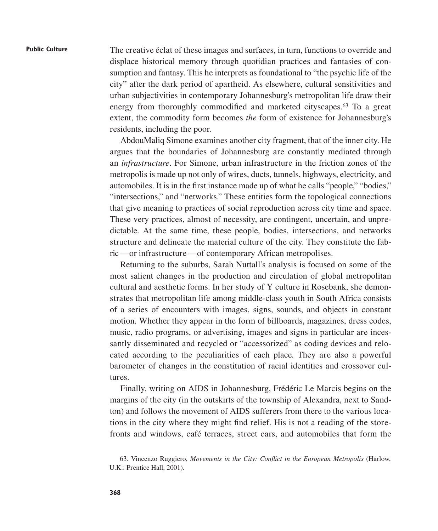The creative éclat of these images and surfaces, in turn, functions to override and displace historical memory through quotidian practices and fantasies of consumption and fantasy. This he interprets as foundational to "the psychic life of the city" after the dark period of apartheid. As elsewhere, cultural sensitivities and urban subjectivities in contemporary Johannesburg's metropolitan life draw their energy from thoroughly commodified and marketed cityscapes.63 To a great extent, the commodity form becomes *the* form of existence for Johannesburg's residents, including the poor.

AbdouMaliq Simone examines another city fragment, that of the inner city. He argues that the boundaries of Johannesburg are constantly mediated through an *infrastructure*. For Simone, urban infrastructure in the friction zones of the metropolis is made up not only of wires, ducts, tunnels, highways, electricity, and automobiles. It is in the first instance made up of what he calls "people," "bodies," "intersections," and "networks." These entities form the topological connections that give meaning to practices of social reproduction across city time and space. These very practices, almost of necessity, are contingent, uncertain, and unpredictable. At the same time, these people, bodies, intersections, and networks structure and delineate the material culture of the city. They constitute the fabric—or infrastructure—of contemporary African metropolises.

Returning to the suburbs, Sarah Nuttall's analysis is focused on some of the most salient changes in the production and circulation of global metropolitan cultural and aesthetic forms. In her study of Y culture in Rosebank, she demonstrates that metropolitan life among middle-class youth in South Africa consists of a series of encounters with images, signs, sounds, and objects in constant motion. Whether they appear in the form of billboards, magazines, dress codes, music, radio programs, or advertising, images and signs in particular are incessantly disseminated and recycled or "accessorized" as coding devices and relocated according to the peculiarities of each place. They are also a powerful barometer of changes in the constitution of racial identities and crossover cultures.

Finally, writing on AIDS in Johannesburg, Frédéric Le Marcis begins on the margins of the city (in the outskirts of the township of Alexandra, next to Sandton) and follows the movement of AIDS sufferers from there to the various locations in the city where they might find relief. His is not a reading of the storefronts and windows, café terraces, street cars, and automobiles that form the

<sup>63.</sup> Vincenzo Ruggiero, *Movements in the City: Conflict in the European Metropolis* (Harlow, U.K.: Prentice Hall, 2001).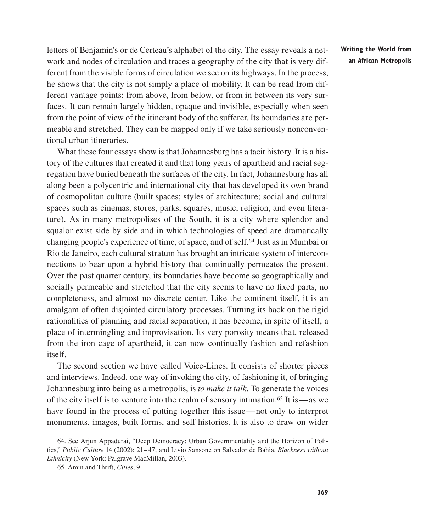letters of Benjamin's or de Certeau's alphabet of the city. The essay reveals a network and nodes of circulation and traces a geography of the city that is very different from the visible forms of circulation we see on its highways. In the process, he shows that the city is not simply a place of mobility. It can be read from different vantage points: from above, from below, or from in between its very surfaces. It can remain largely hidden, opaque and invisible, especially when seen from the point of view of the itinerant body of the sufferer. Its boundaries are permeable and stretched. They can be mapped only if we take seriously nonconventional urban itineraries.

What these four essays show is that Johannesburg has a tacit history. It is a history of the cultures that created it and that long years of apartheid and racial segregation have buried beneath the surfaces of the city. In fact, Johannesburg has all along been a polycentric and international city that has developed its own brand of cosmopolitan culture (built spaces; styles of architecture; social and cultural spaces such as cinemas, stores, parks, squares, music, religion, and even literature). As in many metropolises of the South, it is a city where splendor and squalor exist side by side and in which technologies of speed are dramatically changing people's experience of time, of space, and of self.64 Just as in Mumbai or Rio de Janeiro, each cultural stratum has brought an intricate system of interconnections to bear upon a hybrid history that continually permeates the present. Over the past quarter century, its boundaries have become so geographically and socially permeable and stretched that the city seems to have no fixed parts, no completeness, and almost no discrete center. Like the continent itself, it is an amalgam of often disjointed circulatory processes. Turning its back on the rigid rationalities of planning and racial separation, it has become, in spite of itself, a place of intermingling and improvisation. Its very porosity means that, released from the iron cage of apartheid, it can now continually fashion and refashion itself.

The second section we have called Voice-Lines. It consists of shorter pieces and interviews. Indeed, one way of invoking the city, of fashioning it, of bringing Johannesburg into being as a metropolis, is *to make it talk*. To generate the voices of the city itself is to venture into the realm of sensory intimation.65 It is—as we have found in the process of putting together this issue—not only to interpret monuments, images, built forms, and self histories. It is also to draw on wider

<sup>64.</sup> See Arjun Appadurai, "Deep Democracy: Urban Governmentality and the Horizon of Politics," *Public Culture* 14 (2002): 21–47; and Livio Sansone on Salvador de Bahia, *Blackness without Ethnicity* (New York: Palgrave MacMillan, 2003).

<sup>65.</sup> Amin and Thrift, *Cities*, 9.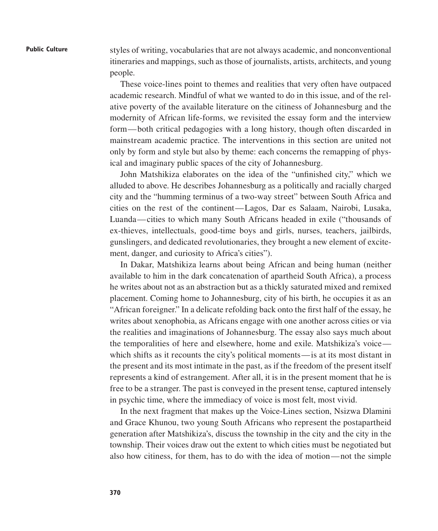styles of writing, vocabularies that are not always academic, and nonconventional itineraries and mappings, such as those of journalists, artists, architects, and young people.

These voice-lines point to themes and realities that very often have outpaced academic research. Mindful of what we wanted to do in this issue, and of the relative poverty of the available literature on the citiness of Johannesburg and the modernity of African life-forms, we revisited the essay form and the interview form—both critical pedagogies with a long history, though often discarded in mainstream academic practice. The interventions in this section are united not only by form and style but also by theme: each concerns the remapping of physical and imaginary public spaces of the city of Johannesburg.

John Matshikiza elaborates on the idea of the "unfinished city," which we alluded to above. He describes Johannesburg as a politically and racially charged city and the "humming terminus of a two-way street" between South Africa and cities on the rest of the continent—Lagos, Dar es Salaam, Nairobi, Lusaka, Luanda—cities to which many South Africans headed in exile ("thousands of ex-thieves, intellectuals, good-time boys and girls, nurses, teachers, jailbirds, gunslingers, and dedicated revolutionaries, they brought a new element of excitement, danger, and curiosity to Africa's cities").

In Dakar, Matshikiza learns about being African and being human (neither available to him in the dark concatenation of apartheid South Africa), a process he writes about not as an abstraction but as a thickly saturated mixed and remixed placement. Coming home to Johannesburg, city of his birth, he occupies it as an "African foreigner." In a delicate refolding back onto the first half of the essay, he writes about xenophobia, as Africans engage with one another across cities or via the realities and imaginations of Johannesburg. The essay also says much about the temporalities of here and elsewhere, home and exile. Matshikiza's voice which shifts as it recounts the city's political moments—is at its most distant in the present and its most intimate in the past, as if the freedom of the present itself represents a kind of estrangement. After all, it is in the present moment that he is free to be a stranger. The past is conveyed in the present tense, captured intensely in psychic time, where the immediacy of voice is most felt, most vivid.

In the next fragment that makes up the Voice-Lines section, Nsizwa Dlamini and Grace Khunou, two young South Africans who represent the postapartheid generation after Matshikiza's, discuss the township in the city and the city in the township. Their voices draw out the extent to which cities must be negotiated but also how citiness, for them, has to do with the idea of motion—not the simple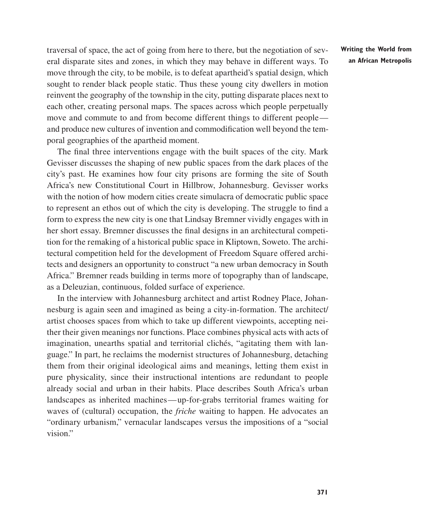traversal of space, the act of going from here to there, but the negotiation of several disparate sites and zones, in which they may behave in different ways. To move through the city, to be mobile, is to defeat apartheid's spatial design, which sought to render black people static. Thus these young city dwellers in motion reinvent the geography of the township in the city, putting disparate places next to each other, creating personal maps. The spaces across which people perpetually move and commute to and from become different things to different people and produce new cultures of invention and commodification well beyond the temporal geographies of the apartheid moment.

The final three interventions engage with the built spaces of the city. Mark Gevisser discusses the shaping of new public spaces from the dark places of the city's past. He examines how four city prisons are forming the site of South Africa's new Constitutional Court in Hillbrow, Johannesburg. Gevisser works with the notion of how modern cities create simulacra of democratic public space to represent an ethos out of which the city is developing. The struggle to find a form to express the new city is one that Lindsay Bremner vividly engages with in her short essay. Bremner discusses the final designs in an architectural competition for the remaking of a historical public space in Kliptown, Soweto. The architectural competition held for the development of Freedom Square offered architects and designers an opportunity to construct "a new urban democracy in South Africa." Bremner reads building in terms more of topography than of landscape, as a Deleuzian, continuous, folded surface of experience.

In the interview with Johannesburg architect and artist Rodney Place, Johannesburg is again seen and imagined as being a city-in-formation. The architect/ artist chooses spaces from which to take up different viewpoints, accepting neither their given meanings nor functions. Place combines physical acts with acts of imagination, unearths spatial and territorial clichés, "agitating them with language." In part, he reclaims the modernist structures of Johannesburg, detaching them from their original ideological aims and meanings, letting them exist in pure physicality, since their instructional intentions are redundant to people already social and urban in their habits. Place describes South Africa's urban landscapes as inherited machines—up-for-grabs territorial frames waiting for waves of (cultural) occupation, the *friche* waiting to happen. He advocates an "ordinary urbanism," vernacular landscapes versus the impositions of a "social vision."